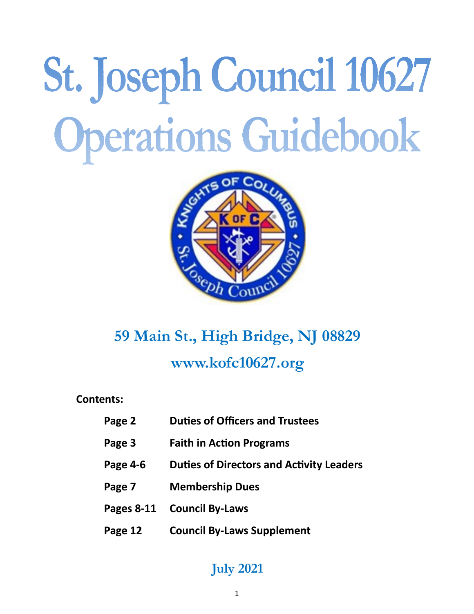# St. Joseph Council 10627 Operations Guidebook



# **59 Main St., High Bridge, NJ 08829 www.kofc10627.org**

**Contents:**

| Page 2 | <b>Duties of Officers and Trustees</b> |
|--------|----------------------------------------|
|--------|----------------------------------------|

- **Page 3 Faith in Action Programs**
- **Page 4-6 Duties of Directors and Activity Leaders**
- **Page 7 Membership Dues**
- **Pages 8-11 Council By-Laws**
- **Page 12 Council By-Laws Supplement**

# **July 2021**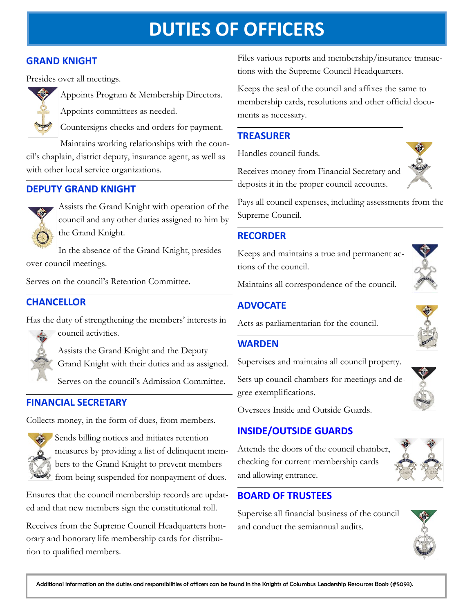# **DUTIES OF OFFICERS**

#### **GRAND KNIGHT**

Presides over all meetings.



Appoints Program & Membership Directors. Appoints committees as needed.

Countersigns checks and orders for payment.

Maintains working relationships with the council's chaplain, district deputy, insurance agent, as well as with other local service organizations.

#### **DEPUTY GRAND KNIGHT**



Assists the Grand Knight with operation of the council and any other duties assigned to him by the Grand Knight.

In the absence of the Grand Knight, presides over council meetings.

Serves on the council's Retention Committee.

#### **CHANCELLOR**

Has the duty of strengthening the members' interests in



council activities.

Assists the Grand Knight and the Deputy Grand Knight with their duties and as assigned.

Serves on the council's Admission Committee.

#### **FINANCIAL SECRETARY**

Collects money, in the form of dues, from members.



Sends billing notices and initiates retention measures by providing a list of delinquent members to the Grand Knight to prevent members from being suspended for nonpayment of dues.

Ensures that the council membership records are updated and that new members sign the constitutional roll.

Receives from the Supreme Council Headquarters honorary and honorary life membership cards for distribution to qualified members.

Files various reports and membership/insurance transactions with the Supreme Council Headquarters.

Keeps the seal of the council and affixes the same to membership cards, resolutions and other official documents as necessary.

## **TREASURER**

Handles council funds.

Receives money from Financial Secretary and deposits it in the proper council accounts.



Pays all council expenses, including assessments from the Supreme Council.

#### **RECORDER**

Keeps and maintains a true and permanent actions of the council.



Maintains all correspondence of the council.

Supervises and maintains all council property.

#### **ADVOCATE**

Acts as parliamentarian for the council.

#### **WARDEN**

gree exemplifications.



Oversees Inside and Outside Guards.

#### **INSIDE/OUTSIDE GUARDS**

Attends the doors of the council chamber, checking for current membership cards and allowing entrance.

## **BOARD OF TRUSTEES**

Supervise all financial business of the council and conduct the semiannual audits.



2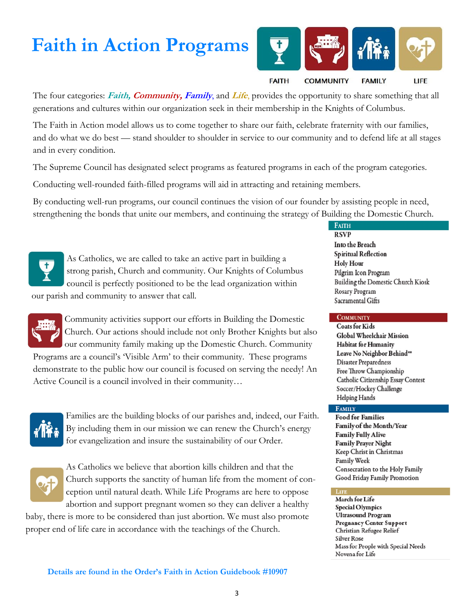# **Faith in Action Programs**



**FAMILY** 

LIFE

#### **FAITH COMMUNITY**

The four categories: **Faith, Community, Family**, and **Life**, provides the opportunity to share something that all generations and cultures within our organization seek in their membership in the Knights of Columbus.

The Faith in Action model allows us to come together to share our faith, celebrate fraternity with our families, and do what we do best — stand shoulder to shoulder in service to our community and to defend life at all stages and in every condition.

The Supreme Council has designated select programs as featured programs in each of the program categories.

Conducting well-rounded faith-filled programs will aid in attracting and retaining members.

By conducting well-run programs, our council continues the vision of our founder by assisting people in need, strengthening the bonds that unite our members, and continuing the strategy of Building the Domestic Church.



As Catholics, we are called to take an active part in building a strong parish, Church and community. Our Knights of Columbus council is perfectly positioned to be the lead organization within

our parish and community to answer that call.



Community activities support our efforts in Building the Domestic Church. Our actions should include not only Brother Knights but also our community family making up the Domestic Church. Community Programs are a council's 'Visible Arm' to their community. These programs demonstrate to the public how our council is focused on serving the needy! An

Active Council is a council involved in their community…



Families are the building blocks of our parishes and, indeed, our Faith. By including them in our mission we can renew the Church's energy for evangelization and insure the sustainability of our Order.



As Catholics we believe that abortion kills children and that the Church supports the sanctity of human life from the moment of conception until natural death. While Life Programs are here to oppose abortion and support pregnant women so they can deliver a healthy

baby, there is more to be considered than just abortion. We must also promote proper end of life care in accordance with the teachings of the Church.

**FAITH RSVP** Into the Breach Spiritual Reflection **Holy Hour** Pilgrim Icon Program Building the Domestic Church Kiosk Rosary Program Sacramental Gifts

#### **COMMUNITY**

**Coats for Kids** Global Wheelchair Mission **Habitat for Humanity** Leave No Neighbor Behind\*\* **Disaster Preparedness** Free Throw Championship Catholic Citizenship Essay Contest Soccer/Hockey Challenge Helping Hands

#### **FAMILY**

**Food for Families** Family of the Month/Year **Family Fully Alive Family Prayer Night** Keep Christ in Christmas Family Week Consecration to the Holy Family Good Friday Family Promotion

#### **LIFE**

March for Life **Special Olympics Ultrasound Program** Pregnancy Center Support Christian Refugee Relief Silver Rose Mass for People with Special Needs Novena for Life

**Details are found in the Order's Faith in Action Guidebook #10907**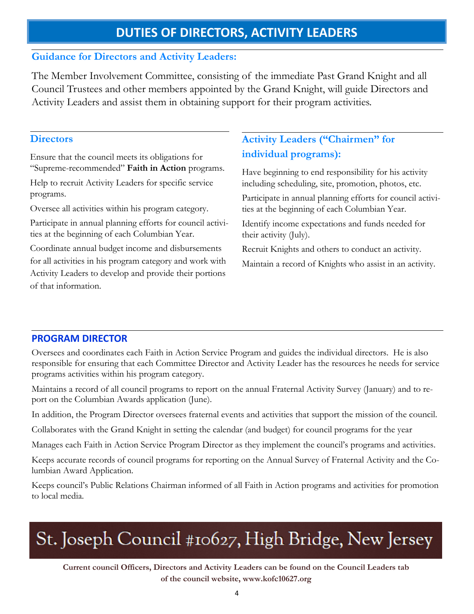## **DUTIES OF DIRECTORS, ACTIVITY LEADERS**

#### **Guidance for Directors and Activity Leaders:**

The Member Involvement Committee, consisting of the immediate Past Grand Knight and all Council Trustees and other members appointed by the Grand Knight, will guide Directors and Activity Leaders and assist them in obtaining support for their program activities.

#### **Directors**

Ensure that the council meets its obligations for "Supreme-recommended" **Faith in Action** programs.

Help to recruit Activity Leaders for specific service programs.

Oversee all activities within his program category.

Participate in annual planning efforts for council activities at the beginning of each Columbian Year.

Coordinate annual budget income and disbursements for all activities in his program category and work with Activity Leaders to develop and provide their portions of that information.

## **Activity Leaders ("Chairmen" for individual programs):**

Have beginning to end responsibility for his activity including scheduling, site, promotion, photos, etc.

Participate in annual planning efforts for council activities at the beginning of each Columbian Year.

Identify income expectations and funds needed for their activity (July).

Recruit Knights and others to conduct an activity. Maintain a record of Knights who assist in an activity.

#### **PROGRAM DIRECTOR**

Oversees and coordinates each Faith in Action Service Program and guides the individual directors. He is also responsible for ensuring that each Committee Director and Activity Leader has the resources he needs for service programs activities within his program category.

Maintains a record of all council programs to report on the annual Fraternal Activity Survey (January) and to report on the Columbian Awards application (June).

In addition, the Program Director oversees fraternal events and activities that support the mission of the council.

Collaborates with the Grand Knight in setting the calendar (and budget) for council programs for the year

Manages each Faith in Action Service Program Director as they implement the council's programs and activities.

Keeps accurate records of council programs for reporting on the Annual Survey of Fraternal Activity and the Columbian Award Application.

Keeps council's Public Relations Chairman informed of all Faith in Action programs and activities for promotion to local media.

# St. Joseph Council #10627, High Bridge, New Jersey

**Current council Officers, Directors and Activity Leaders can be found on the Council Leaders tab of the council website, www.kofc10627.org**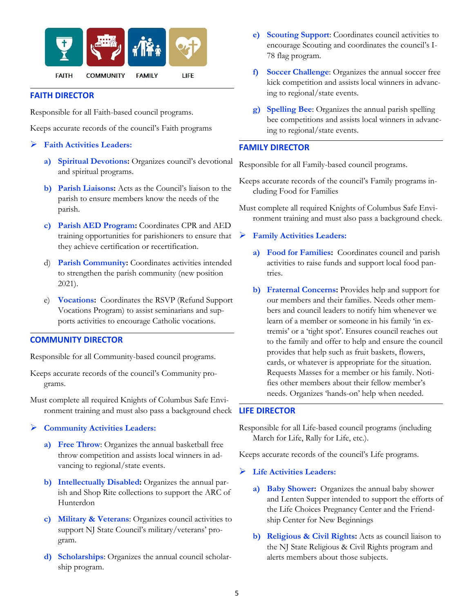

#### **FAITH DIRECTOR**

Responsible for all Faith-based council programs.

Keeps accurate records of the council's Faith programs

- ➢ **Faith Activities Leaders:**
	- **a) Spiritual Devotions:** Organizes council's devotional and spiritual programs.
	- **b) Parish Liaisons:** Acts as the Council's liaison to the parish to ensure members know the needs of the parish.
	- **c) Parish AED Program:** Coordinates CPR and AED training opportunities for parishioners to ensure that they achieve certification or recertification.
	- d) **Parish Community:** Coordinates activities intended to strengthen the parish community (new position 2021).
	- e) **Vocations:** Coordinates the RSVP (Refund Support Vocations Program) to assist seminarians and supports activities to encourage Catholic vocations.

#### **COMMUNITY DIRECTOR**

Responsible for all Community-based council programs.

- Keeps accurate records of the council's Community programs.
- Must complete all required Knights of Columbus Safe Environment training and must also pass a background check
- ➢ **Community Activities Leaders:**
	- **a) Free Throw**: Organizes the annual basketball free throw competition and assists local winners in advancing to regional/state events.
	- **b) Intellectually Disabled:** Organizes the annual parish and Shop Rite collections to support the ARC of Hunterdon
	- **c) Military & Veterans**: Organizes council activities to support NJ State Council's military/veterans' program.
	- **d) Scholarships**: Organizes the annual council scholarship program.
- **e) Scouting Support**: Coordinates council activities to encourage Scouting and coordinates the council's I-78 flag program.
- **f) Soccer Challenge**: Organizes the annual soccer free kick competition and assists local winners in advancing to regional/state events.
- **g) Spelling Bee**: Organizes the annual parish spelling bee competitions and assists local winners in advancing to regional/state events.

#### **FAMILY DIRECTOR**

Responsible for all Family-based council programs.

- Keeps accurate records of the council's Family programs including Food for Families
- Must complete all required Knights of Columbus Safe Environment training and must also pass a background check.

#### ➢ **Family Activities Leaders:**

- **a) Food for Families:** Coordinates council and parish activities to raise funds and support local food pantries.
- **b) Fraternal Concerns:** Provides help and support for our members and their families. Needs other members and council leaders to notify him whenever we learn of a member or someone in his family 'in extremis' or a 'tight spot'. Ensures council reaches out to the family and offer to help and ensure the council provides that help such as fruit baskets, flowers, cards, or whatever is appropriate for the situation. Requests Masses for a member or his family. Notifies other members about their fellow member's needs. Organizes 'hands-on' help when needed.

#### **LIFE DIRECTOR**

Responsible for all Life-based council programs (including March for Life, Rally for Life, etc.).

Keeps accurate records of the council's Life programs.

#### ➢ **Life Activities Leaders:**

- **a) Baby Shower:** Organizes the annual baby shower and Lenten Supper intended to support the efforts of the Life Choices Pregnancy Center and the Friendship Center for New Beginnings
- **b) Religious & Civil Rights:** Acts as council liaison to the NJ State Religious & Civil Rights program and alerts members about those subjects.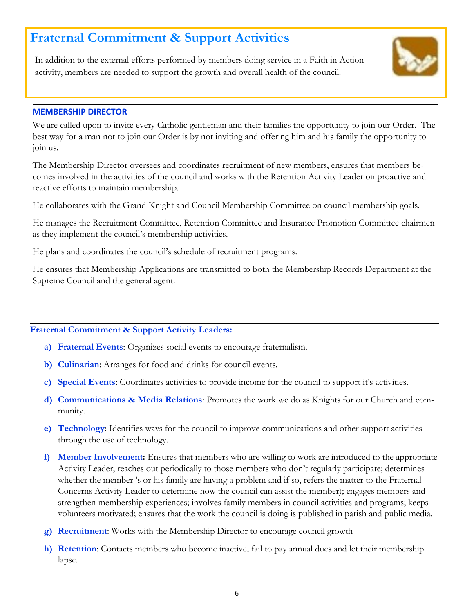# **Fraternal Commitment & Support Activities**

In addition to the external efforts performed by members doing service in a Faith in Action activity, members are needed to support the growth and overall health of the council.



#### **MEMBERSHIP DIRECTOR**

We are called upon to invite every Catholic gentleman and their families the opportunity to join our Order. The best way for a man not to join our Order is by not inviting and offering him and his family the opportunity to join us.

The Membership Director oversees and coordinates recruitment of new members, ensures that members becomes involved in the activities of the council and works with the Retention Activity Leader on proactive and reactive efforts to maintain membership.

He collaborates with the Grand Knight and Council Membership Committee on council membership goals.

He manages the Recruitment Committee, Retention Committee and Insurance Promotion Committee chairmen as they implement the council's membership activities.

He plans and coordinates the council's schedule of recruitment programs.

He ensures that Membership Applications are transmitted to both the Membership Records Department at the Supreme Council and the general agent.

#### **Fraternal Commitment & Support Activity Leaders:**

- **a) Fraternal Events**: Organizes social events to encourage fraternalism.
- **b) Culinarian**: Arranges for food and drinks for council events.
- **c) Special Events**: Coordinates activities to provide income for the council to support it's activities.
- **d) Communications & Media Relations**: Promotes the work we do as Knights for our Church and community.
- **e) Technology**: Identifies ways for the council to improve communications and other support activities through the use of technology.
- **f) Member Involvement:** Ensures that members who are willing to work are introduced to the appropriate Activity Leader; reaches out periodically to those members who don't regularly participate; determines whether the member 's or his family are having a problem and if so, refers the matter to the Fraternal Concerns Activity Leader to determine how the council can assist the member); engages members and strengthen membership experiences; involves family members in council activities and programs; keeps volunteers motivated; ensures that the work the council is doing is published in parish and public media.
- **g) Recruitment**: Works with the Membership Director to encourage council growth
- **h) Retention**: Contacts members who become inactive, fail to pay annual dues and let their membership lapse.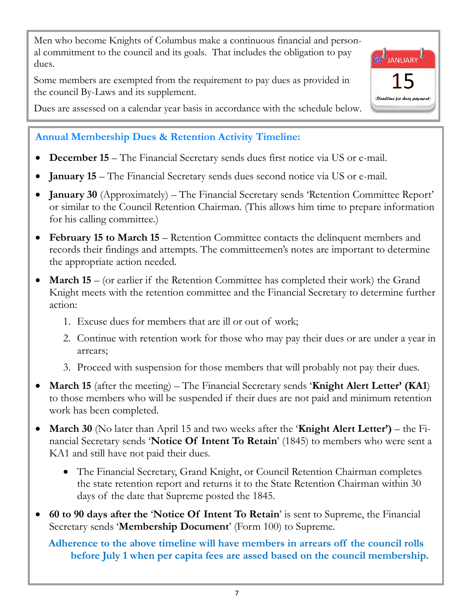Men who become Knights of Columbus make a continuous financial and personal commitment to the council and its goals. That includes the obligation to pay dues.

Some members are exempted from the requirement to pay dues as provided in the council By-Laws and its supplement.

JANUARY<sup>U</sup> (Deadline for dues payment

Dues are assessed on a calendar year basis in accordance with the schedule below.

# **Annual Membership Dues & Retention Activity Timeline:**

- **December 15**  The Financial Secretary sends dues first notice via US or e-mail.
- **January 15** The Financial Secretary sends dues second notice via US or e-mail.
- **January 30** (Approximately) The Financial Secretary sends 'Retention Committee Report' or similar to the Council Retention Chairman. (This allows him time to prepare information for his calling committee.)
- **February 15 to March 15**  Retention Committee contacts the delinquent members and records their findings and attempts. The committeemen's notes are important to determine the appropriate action needed.
- **March 15** (or earlier if the Retention Committee has completed their work) the Grand Knight meets with the retention committee and the Financial Secretary to determine further action:
	- 1. Excuse dues for members that are ill or out of work;
	- 2. Continue with retention work for those who may pay their dues or are under a year in arrears;
	- 3. Proceed with suspension for those members that will probably not pay their dues.
- **March 15** (after the meeting) The Financial Secretary sends **'Knight Alert Letter' (KA1**) to those members who will be suspended if their dues are not paid and minimum retention work has been completed.
- **March 30** (No later than April 15 and two weeks after the '**Knight Alert Letter')**  the Financial Secretary sends '**Notice Of Intent To Retain**' (1845) to members who were sent a KA1 and still have not paid their dues.
	- The Financial Secretary, Grand Knight, or Council Retention Chairman completes the state retention report and returns it to the State Retention Chairman within 30 days of the date that Supreme posted the 1845.
- **60 to 90 days after the** '**Notice Of Intent To Retain**' is sent to Supreme, the Financial Secretary sends '**Membership Document**' (Form 100) to Supreme.

**Adherence to the above timeline will have members in arrears off the council rolls before July 1 when per capita fees are assed based on the council membership.**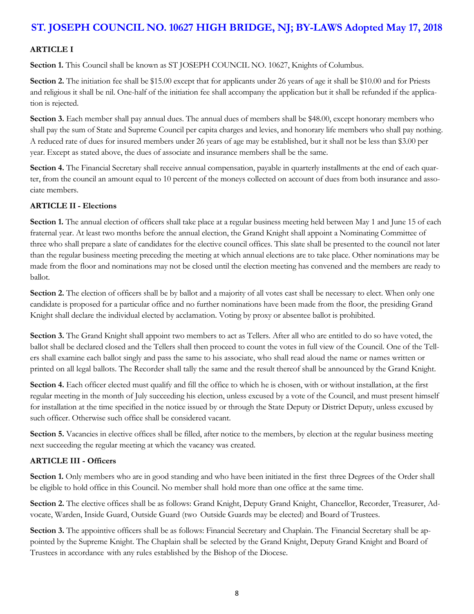## **ST. JOSEPH COUNCIL NO. 10627 HIGH BRIDGE, NJ; BY-LAWS Adopted May 17, 2018**

#### **ARTICLE I**

**Section 1.** This Council shall be known as ST JOSEPH COUNCIL NO. 10627, Knights of Columbus.

**Section 2.** The initiation fee shall be \$15.00 except that for applicants under 26 years of age it shall be \$10.00 and for Priests and religious it shall be nil. One-half of the initiation fee shall accompany the application but it shall be refunded if the application is rejected.

**Section 3.** Each member shall pay annual dues. The annual dues of members shall be \$48.00, except honorary members who shall pay the sum of State and Supreme Council per capita charges and levies, and honorary life members who shall pay nothing. A reduced rate of dues for insured members under 26 years of age may be established, but it shall not be less than \$3.00 per year. Except as stated above, the dues of associate and insurance members shall be the same.

**Section 4.** The Financial Secretary shall receive annual compensation, payable in quarterly installments at the end of each quarter, from the council an amount equal to 10 percent of the moneys collected on account of dues from both insurance and associate members.

#### **ARTICLE II - Elections**

**Section 1.** The annual election of officers shall take place at a regular business meeting held between May 1 and June 15 of each fraternal year. At least two months before the annual election, the Grand Knight shall appoint a Nominating Committee of three who shall prepare a slate of candidates for the elective council offices. This slate shall be presented to the council not later than the regular business meeting preceding the meeting at which annual elections are to take place. Other nominations may be made from the floor and nominations may not be closed until the election meeting has convened and the members are ready to ballot.

**Section 2.** The election of officers shall be by ballot and a majority of all votes cast shall be necessary to elect. When only one candidate is proposed for a particular office and no further nominations have been made from the floor, the presiding Grand Knight shall declare the individual elected by acclamation. Voting by proxy or absentee ballot is prohibited.

**Section 3.** The Grand Knight shall appoint two members to act as Tellers. After all who are entitled to do so have voted, the ballot shall be declared closed and the Tellers shall then proceed to count the votes in full view of the Council. One of the Tellers shall examine each ballot singly and pass the same to his associate, who shall read aloud the name or names written or printed on all legal ballots. The Recorder shall tally the same and the result thereof shall be announced by the Grand Knight.

**Section 4.** Each officer elected must qualify and fill the office to which he is chosen, with or without installation, at the first regular meeting in the month of July succeeding his election, unless excused by a vote of the Council, and must present himself for installation at the time specified in the notice issued by or through the State Deputy or District Deputy, unless excused by such officer. Otherwise such office shall be considered vacant.

**Section 5.** Vacancies in elective offices shall be filled, after notice to the members, by election at the regular business meeting next succeeding the regular meeting at which the vacancy was created.

#### **ARTICLE III - Officers**

**Section 1.** Only members who are in good standing and who have been initiated in the first three Degrees of the Order shall be eligible to hold office in this Council. No member shall hold more than one office at the same time.

**Section 2.** The elective offices shall be as follows: Grand Knight, Deputy Grand Knight, Chancellor, Recorder, Treasurer, Advocate, Warden, Inside Guard, Outside Guard (two Outside Guards may be elected) and Board of Trustees.

**Section 3.** The appointive officers shall be as follows: Financial Secretary and Chaplain. The Financial Secretary shall be appointed by the Supreme Knight. The Chaplain shall be selected by the Grand Knight, Deputy Grand Knight and Board of Trustees in accordance with any rules established by the Bishop of the Diocese.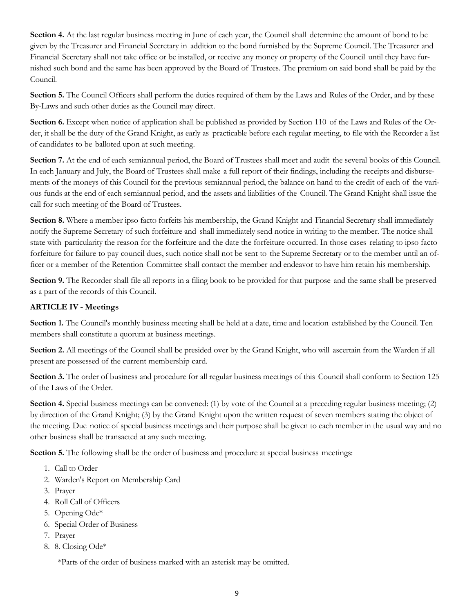**Section 4.** At the last regular business meeting in June of each year, the Council shall determine the amount of bond to be given by the Treasurer and Financial Secretary in addition to the bond furnished by the Supreme Council. The Treasurer and Financial Secretary shall not take office or be installed, or receive any money or property of the Council until they have furnished such bond and the same has been approved by the Board of Trustees. The premium on said bond shall be paid by the Council.

**Section 5.** The Council Officers shall perform the duties required of them by the Laws and Rules of the Order, and by these By-Laws and such other duties as the Council may direct.

**Section 6.** Except when notice of application shall be published as provided by Section 110 of the Laws and Rules of the Order, it shall be the duty of the Grand Knight, as early as practicable before each regular meeting, to file with the Recorder a list of candidates to be balloted upon at such meeting.

**Section 7.** At the end of each semiannual period, the Board of Trustees shall meet and audit the several books of this Council. In each January and July, the Board of Trustees shall make a full report of their findings, including the receipts and disbursements of the moneys of this Council for the previous semiannual period, the balance on hand to the credit of each of the various funds at the end of each semiannual period, and the assets and liabilities of the Council. The Grand Knight shall issue the call for such meeting of the Board of Trustees.

**Section 8.** Where a member ipso facto forfeits his membership, the Grand Knight and Financial Secretary shall immediately notify the Supreme Secretary of such forfeiture and shall immediately send notice in writing to the member. The notice shall state with particularity the reason for the forfeiture and the date the forfeiture occurred. In those cases relating to ipso facto forfeiture for failure to pay council dues, such notice shall not be sent to the Supreme Secretary or to the member until an officer or a member of the Retention Committee shall contact the member and endeavor to have him retain his membership.

**Section 9.** The Recorder shall file all reports in a filing book to be provided for that purpose and the same shall be preserved as a part of the records of this Council.

#### **ARTICLE IV - Meetings**

**Section 1.** The Council's monthly business meeting shall be held at a date, time and location established by the Council. Ten members shall constitute a quorum at business meetings.

**Section 2.** All meetings of the Council shall be presided over by the Grand Knight, who will ascertain from the Warden if all present are possessed of the current membership card.

**Section 3.** The order of business and procedure for all regular business meetings of this Council shall conform to Section 125 of the Laws of the Order.

**Section 4.** Special business meetings can be convened: (1) by vote of the Council at a preceding regular business meeting; (2) by direction of the Grand Knight; (3) by the Grand Knight upon the written request of seven members stating the object of the meeting. Due notice of special business meetings and their purpose shall be given to each member in the usual way and no other business shall be transacted at any such meeting.

**Section 5.** The following shall be the order of business and procedure at special business meetings:

- 1. Call to Order
- 2. Warden's Report on Membership Card
- 3. Prayer
- 4. Roll Call of Officers
- 5. Opening Ode\*
- 6. Special Order of Business
- 7. Prayer
- 8. 8. Closing Ode\*

\*Parts of the order of business marked with an asterisk may be omitted.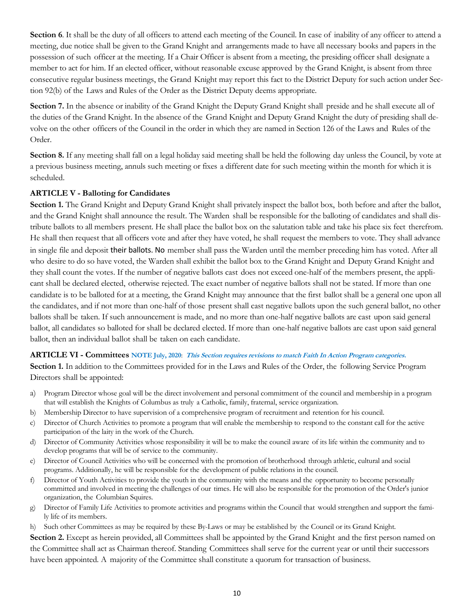**Section 6**. It shall be the duty of all officers to attend each meeting of the Council. In case of inability of any officer to attend a meeting, due notice shall be given to the Grand Knight and arrangements made to have all necessary books and papers in the possession of such officer at the meeting. If a Chair Officer is absent from a meeting, the presiding officer shall designate a member to act for him. If an elected officer, without reasonable excuse approved by the Grand Knight, is absent from three consecutive regular business meetings, the Grand Knight may report this fact to the District Deputy for such action under Section 92(b) of the Laws and Rules of the Order as the District Deputy deems appropriate.

Section 7. In the absence or inability of the Grand Knight the Deputy Grand Knight shall preside and he shall execute all of the duties of the Grand Knight. In the absence of the Grand Knight and Deputy Grand Knight the duty of presiding shall devolve on the other officers of the Council in the order in which they are named in Section 126 of the Laws and Rules of the Order.

**Section 8.** If any meeting shall fall on a legal holiday said meeting shall be held the following day unless the Council, by vote at a previous business meeting, annuls such meeting or fixes a different date for such meeting within the month for which it is scheduled.

#### **ARTICLE V - Balloting for Candidates**

**Section 1.** The Grand Knight and Deputy Grand Knight shall privately inspect the ballot box, both before and after the ballot, and the Grand Knight shall announce the result. The Warden shall be responsible for the balloting of candidates and shall distribute ballots to all members present. He shall place the ballot box on the salutation table and take his place six feet therefrom. He shall then request that all officers vote and after they have voted, he shall request the members to vote. They shall advance in single file and deposit their ballots. No member shall pass the Warden until the member preceding him has voted. After all who desire to do so have voted, the Warden shall exhibit the ballot box to the Grand Knight and Deputy Grand Knight and they shall count the votes. If the number of negative ballots cast does not exceed one-half of the members present, the applicant shall be declared elected, otherwise rejected. The exact number of negative ballots shall not be stated. If more than one candidate is to be balloted for at a meeting, the Grand Knight may announce that the first ballot shall be a general one upon all the candidates, and if not more than one-half of those present shall cast negative ballots upon the such general ballot, no other ballots shall be taken. If such announcement is made, and no more than one-half negative ballots are cast upon said general ballot, all candidates so balloted for shall be declared elected. If more than one-half negative ballots are cast upon said general ballot, then an individual ballot shall be taken on each candidate.

#### **ARTICLE VI - Committees NOTE July, 2020**: **This Section requires revisions to match Faith In Action Program categories.**

**Section 1.** In addition to the Committees provided for in the Laws and Rules of the Order, the following Service Program Directors shall be appointed:

- a) Program Director whose goal will be the direct involvement and personal commitment of the council and membership in a program that will establish the Knights of Columbus as truly a Catholic, family, fraternal, service organization.
- b) Membership Director to have supervision of a comprehensive program of recruitment and retention for his council.
- c) Director of Church Activities to promote a program that will enable the membership to respond to the constant call for the active participation of the laity in the work of the Church.
- d) Director of Community Activities whose responsibility it will be to make the council aware of its life within the community and to develop programs that will be of service to the community.
- e) Director of Council Activities who will be concerned with the promotion of brotherhood through athletic, cultural and social programs. Additionally, he will be responsible for the development of public relations in the council.
- f) Director of Youth Activities to provide the youth in the community with the means and the opportunity to become personally committed and involved in meeting the challenges of our times. He will also be responsible for the promotion of the Order's junior organization, the Columbian Squires.
- g) Director of Family Life Activities to promote activities and programs within the Council that would strengthen and support the family life of its members.
- h) Such other Committees as may be required by these By-Laws or may be established by the Council or its Grand Knight.

**Section 2.** Except as herein provided, all Committees shall be appointed by the Grand Knight and the first person named on the Committee shall act as Chairman thereof. Standing Committees shall serve for the current year or until their successors have been appointed. A majority of the Committee shall constitute a quorum for transaction of business.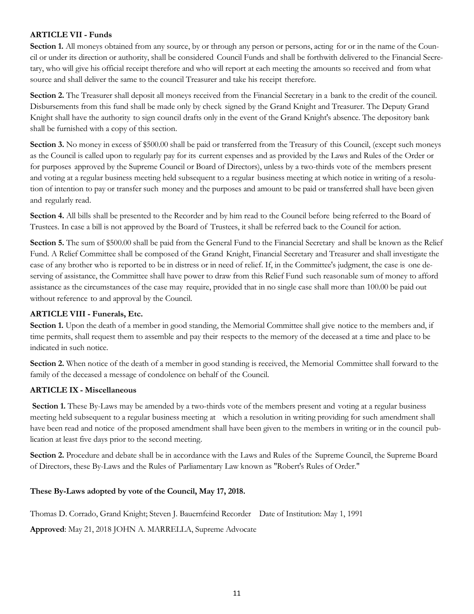#### **ARTICLE VII - Funds**

**Section 1.** All moneys obtained from any source, by or through any person or persons, acting for or in the name of the Council or under its direction or authority, shall be considered Council Funds and shall be forthwith delivered to the Financial Secretary, who will give his official receipt therefore and who will report at each meeting the amounts so received and from what source and shall deliver the same to the council Treasurer and take his receipt therefore.

**Section 2.** The Treasurer shall deposit all moneys received from the Financial Secretary in a bank to the credit of the council. Disbursements from this fund shall be made only by check signed by the Grand Knight and Treasurer. The Deputy Grand Knight shall have the authority to sign council drafts only in the event of the Grand Knight's absence. The depository bank shall be furnished with a copy of this section.

**Section 3.** No money in excess of \$500.00 shall be paid or transferred from the Treasury of this Council, (except such moneys as the Council is called upon to regularly pay for its current expenses and as provided by the Laws and Rules of the Order or for purposes approved by the Supreme Council or Board of Directors), unless by a two-thirds vote of the members present and voting at a regular business meeting held subsequent to a regular business meeting at which notice in writing of a resolution of intention to pay or transfer such money and the purposes and amount to be paid or transferred shall have been given and regularly read.

**Section 4.** All bills shall be presented to the Recorder and by him read to the Council before being referred to the Board of Trustees. In case a bill is not approved by the Board of Trustees, it shall be referred back to the Council for action.

**Section 5.** The sum of \$500.00 shall be paid from the General Fund to the Financial Secretary and shall be known as the Relief Fund. A Relief Committee shall be composed of the Grand Knight, Financial Secretary and Treasurer and shall investigate the case of any brother who is reported to be in distress or in need of relief. If, in the Committee's judgment, the case is one deserving of assistance, the Committee shall have power to draw from this Relief Fund such reasonable sum of money to afford assistance as the circumstances of the case may require, provided that in no single case shall more than 100.00 be paid out without reference to and approval by the Council.

#### **ARTICLE VIII - Funerals, Etc.**

**Section 1.** Upon the death of a member in good standing, the Memorial Committee shall give notice to the members and, if time permits, shall request them to assemble and pay their respects to the memory of the deceased at a time and place to be indicated in such notice.

**Section 2.** When notice of the death of a member in good standing is received, the Memorial Committee shall forward to the family of the deceased a message of condolence on behalf of the Council.

#### **ARTICLE IX - Miscellaneous**

**Section 1.** These By-Laws may be amended by a two-thirds vote of the members present and voting at a regular business meeting held subsequent to a regular business meeting at which a resolution in writing providing for such amendment shall have been read and notice of the proposed amendment shall have been given to the members in writing or in the council publication at least five days prior to the second meeting.

**Section 2.** Procedure and debate shall be in accordance with the Laws and Rules of the Supreme Council, the Supreme Board of Directors, these By-Laws and the Rules of Parliamentary Law known as "Robert's Rules of Order."

#### **These By-Laws adopted by vote of the Council, May 17, 2018.**

Thomas D. Corrado, Grand Knight; Steven J. Bauernfeind Recorder Date of Institution: May 1, 1991

**Approved**: May 21, 2018 JOHN A. MARRELLA, Supreme Advocate